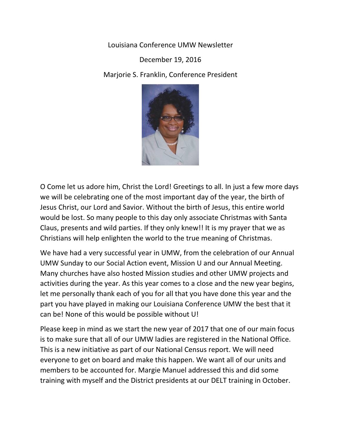Louisiana Conference UMW Newsletter

December 19, 2016

Marjorie S. Franklin, Conference President



O Come let us adore him, Christ the Lord! Greetings to all. In just a few more days we will be celebrating one of the most important day of the year, the birth of Jesus Christ, our Lord and Savior. Without the birth of Jesus, this entire world would be lost. So many people to this day only associate Christmas with Santa Claus, presents and wild parties. If they only knew!! It is my prayer that we as Christians will help enlighten the world to the true meaning of Christmas.

We have had a very successful year in UMW, from the celebration of our Annual UMW Sunday to our Social Action event, Mission U and our Annual Meeting. Many churches have also hosted Mission studies and other UMW projects and activities during the year. As this year comes to a close and the new year begins, let me personally thank each of you for all that you have done this year and the part you have played in making our Louisiana Conference UMW the best that it can be! None of this would be possible without U!

Please keep in mind as we start the new year of 2017 that one of our main focus is to make sure that all of our UMW ladies are registered in the National Office. This is a new initiative as part of our National Census report. We will need everyone to get on board and make this happen. We want all of our units and members to be accounted for. Margie Manuel addressed this and did some training with myself and the District presidents at our DELT training in October.